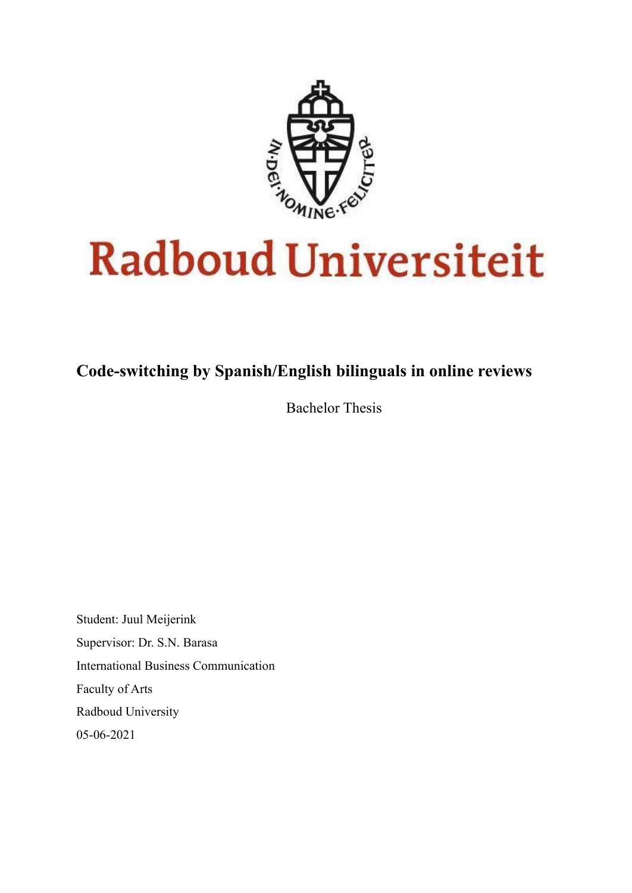

# **Radboud Universiteit**

# **Code-switching by Spanish/English bilinguals in online reviews**

Bachelor Thesis

Student: Juul Meijerink Supervisor: Dr. S.N. Barasa International Business Communication Faculty of Arts Radboud University 05-06-2021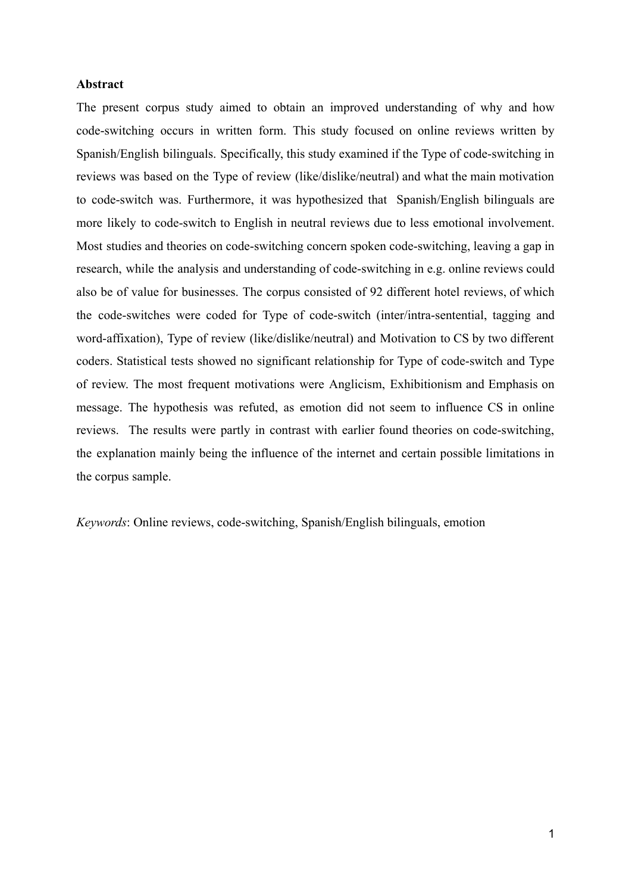#### **Abstract**

The present corpus study aimed to obtain an improved understanding of why and how code-switching occurs in written form. This study focused on online reviews written by Spanish/English bilinguals. Specifically, this study examined if the Type of code-switching in reviews was based on the Type of review (like/dislike/neutral) and what the main motivation to code-switch was. Furthermore, it was hypothesized that Spanish/English bilinguals are more likely to code-switch to English in neutral reviews due to less emotional involvement. Most studies and theories on code-switching concern spoken code-switching, leaving a gap in research, while the analysis and understanding of code-switching in e.g. online reviews could also be of value for businesses. The corpus consisted of 92 different hotel reviews, of which the code-switches were coded for Type of code-switch (inter/intra-sentential, tagging and word-affixation), Type of review (like/dislike/neutral) and Motivation to CS by two different coders. Statistical tests showed no significant relationship for Type of code-switch and Type of review. The most frequent motivations were Anglicism, Exhibitionism and Emphasis on message. The hypothesis was refuted, as emotion did not seem to influence CS in online reviews. The results were partly in contrast with earlier found theories on code-switching, the explanation mainly being the influence of the internet and certain possible limitations in the corpus sample.

*Keywords*: Online reviews, code-switching, Spanish/English bilinguals, emotion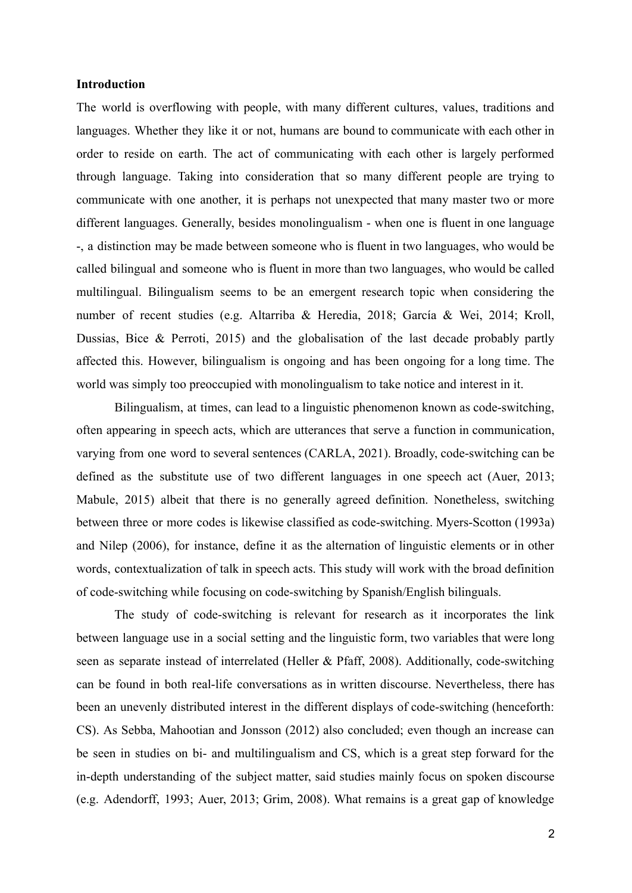#### **Introduction**

The world is overflowing with people, with many different cultures, values, traditions and languages. Whether they like it or not, humans are bound to communicate with each other in order to reside on earth. The act of communicating with each other is largely performed through language. Taking into consideration that so many different people are trying to communicate with one another, it is perhaps not unexpected that many master two or more different languages. Generally, besides monolingualism - when one is fluent in one language -, a distinction may be made between someone who is fluent in two languages, who would be called bilingual and someone who is fluent in more than two languages, who would be called multilingual. Bilingualism seems to be an emergent research topic when considering the number of recent studies (e.g. Altarriba & Heredia, 2018; García & Wei, 2014; Kroll, Dussias, Bice & Perroti, 2015) and the globalisation of the last decade probably partly affected this. However, bilingualism is ongoing and has been ongoing for a long time. The world was simply too preoccupied with monolingualism to take notice and interest in it.

Bilingualism, at times, can lead to a linguistic phenomenon known as code-switching, often appearing in speech acts, which are utterances that serve a function in communication, varying from one word to several sentences (CARLA, 2021). Broadly, code-switching can be defined as the substitute use of two different languages in one speech act (Auer, 2013; Mabule, 2015) albeit that there is no generally agreed definition. Nonetheless, switching between three or more codes is likewise classified as code-switching. Myers-Scotton (1993a) and Nilep (2006), for instance, define it as the alternation of linguistic elements or in other words, contextualization of talk in speech acts. This study will work with the broad definition of code-switching while focusing on code-switching by Spanish/English bilinguals.

The study of code-switching is relevant for research as it incorporates the link between language use in a social setting and the linguistic form, two variables that were long seen as separate instead of interrelated (Heller & Pfaff, 2008). Additionally, code-switching can be found in both real-life conversations as in written discourse. Nevertheless, there has been an unevenly distributed interest in the different displays of code-switching (henceforth: CS). As Sebba, Mahootian and Jonsson (2012) also concluded; even though an increase can be seen in studies on bi- and multilingualism and CS, which is a great step forward for the in-depth understanding of the subject matter, said studies mainly focus on spoken discourse (e.g. Adendorff, 1993; Auer, 2013; Grim, 2008). What remains is a great gap of knowledge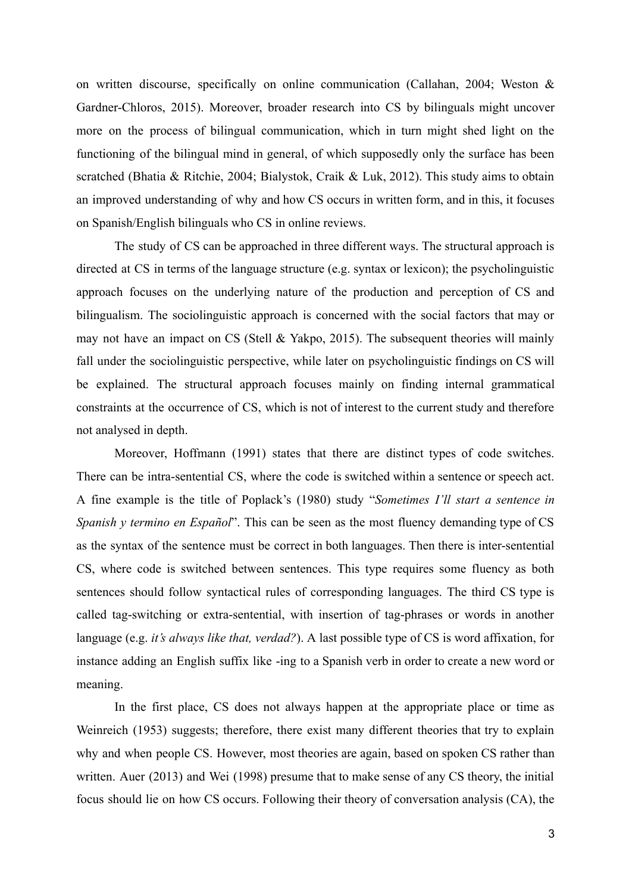on written discourse, specifically on online communication (Callahan, 2004; Weston & Gardner-Chloros, 2015). Moreover, broader research into CS by bilinguals might uncover more on the process of bilingual communication, which in turn might shed light on the functioning of the bilingual mind in general, of which supposedly only the surface has been scratched (Bhatia & Ritchie, 2004; Bialystok, Craik & Luk, 2012). This study aims to obtain an improved understanding of why and how CS occurs in written form, and in this, it focuses on Spanish/English bilinguals who CS in online reviews.

The study of CS can be approached in three different ways. The structural approach is directed at CS in terms of the language structure (e.g. syntax or lexicon); the psycholinguistic approach focuses on the underlying nature of the production and perception of CS and bilingualism. The sociolinguistic approach is concerned with the social factors that may or may not have an impact on CS (Stell & Yakpo, 2015). The subsequent theories will mainly fall under the sociolinguistic perspective, while later on psycholinguistic findings on CS will be explained. The structural approach focuses mainly on finding internal grammatical constraints at the occurrence of CS, which is not of interest to the current study and therefore not analysed in depth.

Moreover, Hoffmann (1991) states that there are distinct types of code switches. There can be intra-sentential CS, where the code is switched within a sentence or speech act. A fine example is the title of Poplack's (1980) study "*Sometimes I'll start a sentence in Spanish y termino en Español*". This can be seen as the most fluency demanding type of CS as the syntax of the sentence must be correct in both languages. Then there is inter-sentential CS, where code is switched between sentences. This type requires some fluency as both sentences should follow syntactical rules of corresponding languages. The third CS type is called tag-switching or extra-sentential, with insertion of tag-phrases or words in another language (e.g. *it's always like that, verdad?*). A last possible type of CS is word affixation, for instance adding an English suffix like -ing to a Spanish verb in order to create a new word or meaning.

In the first place, CS does not always happen at the appropriate place or time as Weinreich (1953) suggests; therefore, there exist many different theories that try to explain why and when people CS. However, most theories are again, based on spoken CS rather than written. Auer (2013) and Wei (1998) presume that to make sense of any CS theory, the initial focus should lie on how CS occurs. Following their theory of conversation analysis (CA), the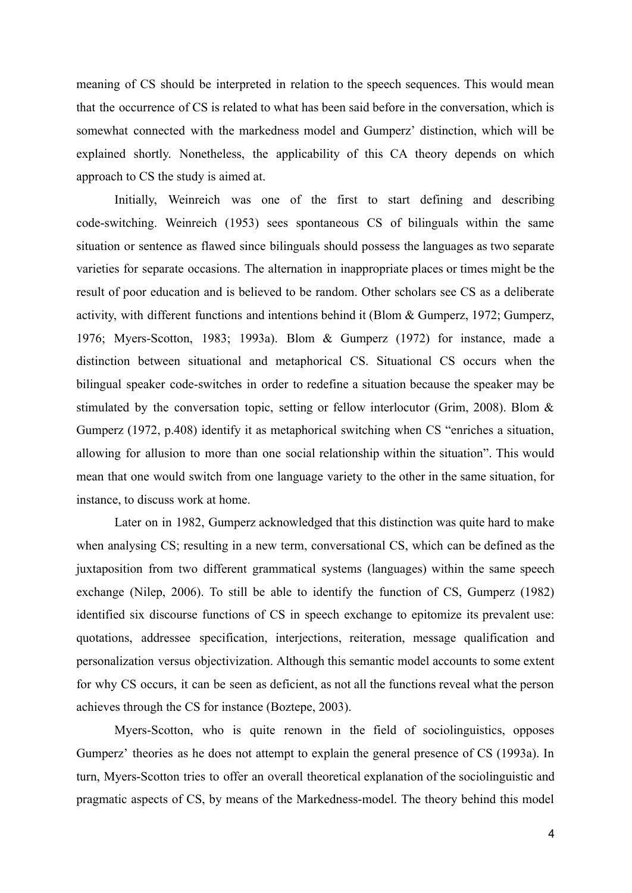meaning of CS should be interpreted in relation to the speech sequences. This would mean that the occurrence of CS is related to what has been said before in the conversation, which is somewhat connected with the markedness model and Gumperz' distinction, which will be explained shortly. Nonetheless, the applicability of this CA theory depends on which approach to CS the study is aimed at.

Initially, Weinreich was one of the first to start defining and describing code-switching. Weinreich (1953) sees spontaneous CS of bilinguals within the same situation or sentence as flawed since bilinguals should possess the languages as two separate varieties for separate occasions. The alternation in inappropriate places or times might be the result of poor education and is believed to be random. Other scholars see CS as a deliberate activity, with different functions and intentions behind it (Blom & Gumperz, 1972; Gumperz, 1976; Myers-Scotton, 1983; 1993a). Blom & Gumperz (1972) for instance, made a distinction between situational and metaphorical CS. Situational CS occurs when the bilingual speaker code-switches in order to redefine a situation because the speaker may be stimulated by the conversation topic, setting or fellow interlocutor (Grim, 2008). Blom & Gumperz (1972, p.408) identify it as metaphorical switching when CS "enriches a situation, allowing for allusion to more than one social relationship within the situation". This would mean that one would switch from one language variety to the other in the same situation, for instance, to discuss work at home.

Later on in 1982, Gumperz acknowledged that this distinction was quite hard to make when analysing CS; resulting in a new term, conversational CS, which can be defined as the juxtaposition from two different grammatical systems (languages) within the same speech exchange (Nilep, 2006). To still be able to identify the function of CS, Gumperz (1982) identified six discourse functions of CS in speech exchange to epitomize its prevalent use: quotations, addressee specification, interjections, reiteration, message qualification and personalization versus objectivization. Although this semantic model accounts to some extent for why CS occurs, it can be seen as deficient, as not all the functions reveal what the person achieves through the CS for instance (Boztepe, 2003).

Myers-Scotton, who is quite renown in the field of sociolinguistics, opposes Gumperz' theories as he does not attempt to explain the general presence of CS (1993a). In turn, Myers-Scotton tries to offer an overall theoretical explanation of the sociolinguistic and pragmatic aspects of CS, by means of the Markedness-model. The theory behind this model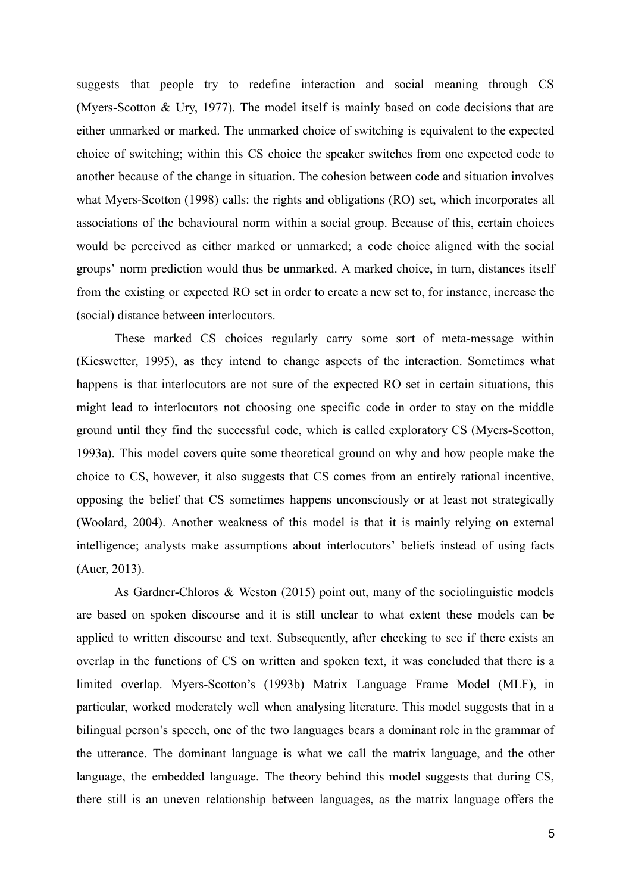suggests that people try to redefine interaction and social meaning through CS (Myers-Scotton & Ury, 1977). The model itself is mainly based on code decisions that are either unmarked or marked. The unmarked choice of switching is equivalent to the expected choice of switching; within this CS choice the speaker switches from one expected code to another because of the change in situation. The cohesion between code and situation involves what Myers-Scotton (1998) calls: the rights and obligations (RO) set, which incorporates all associations of the behavioural norm within a social group. Because of this, certain choices would be perceived as either marked or unmarked; a code choice aligned with the social groups' norm prediction would thus be unmarked. A marked choice, in turn, distances itself from the existing or expected RO set in order to create a new set to, for instance, increase the (social) distance between interlocutors.

These marked CS choices regularly carry some sort of meta-message within (Kieswetter, 1995), as they intend to change aspects of the interaction. Sometimes what happens is that interlocutors are not sure of the expected RO set in certain situations, this might lead to interlocutors not choosing one specific code in order to stay on the middle ground until they find the successful code, which is called exploratory CS (Myers-Scotton, 1993a). This model covers quite some theoretical ground on why and how people make the choice to CS, however, it also suggests that CS comes from an entirely rational incentive, opposing the belief that CS sometimes happens unconsciously or at least not strategically (Woolard, 2004). Another weakness of this model is that it is mainly relying on external intelligence; analysts make assumptions about interlocutors' beliefs instead of using facts (Auer, 2013).

As Gardner-Chloros & Weston (2015) point out, many of the sociolinguistic models are based on spoken discourse and it is still unclear to what extent these models can be applied to written discourse and text. Subsequently, after checking to see if there exists an overlap in the functions of CS on written and spoken text, it was concluded that there is a limited overlap. Myers-Scotton's (1993b) Matrix Language Frame Model (MLF), in particular, worked moderately well when analysing literature. This model suggests that in a bilingual person's speech, one of the two languages bears a dominant role in the grammar of the utterance. The dominant language is what we call the matrix language, and the other language, the embedded language. The theory behind this model suggests that during CS, there still is an uneven relationship between languages, as the matrix language offers the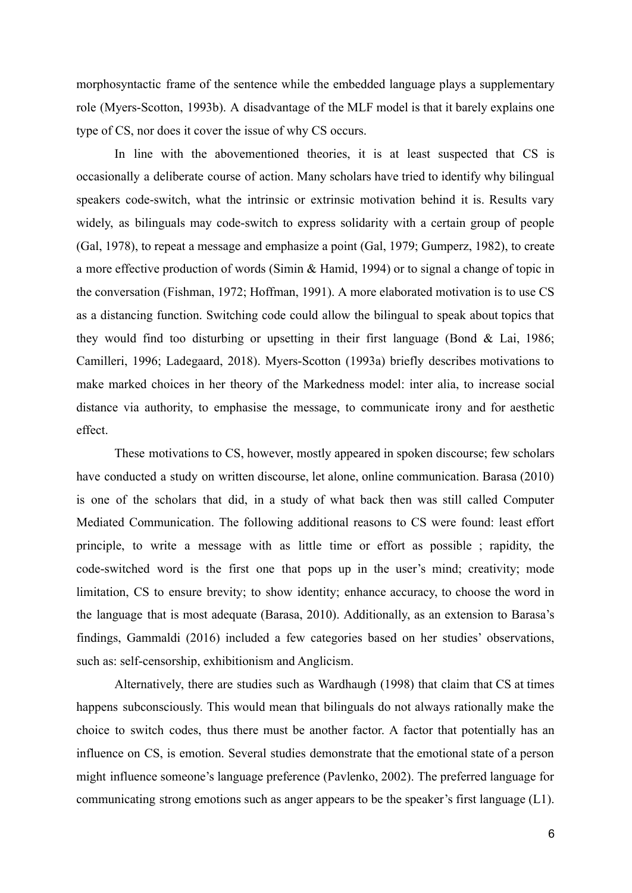morphosyntactic frame of the sentence while the embedded language plays a supplementary role (Myers-Scotton, 1993b). A disadvantage of the MLF model is that it barely explains one type of CS, nor does it cover the issue of why CS occurs.

In line with the abovementioned theories, it is at least suspected that CS is occasionally a deliberate course of action. Many scholars have tried to identify why bilingual speakers code-switch, what the intrinsic or extrinsic motivation behind it is. Results vary widely, as bilinguals may code-switch to express solidarity with a certain group of people (Gal, 1978), to repeat a message and emphasize a point (Gal, 1979; Gumperz, 1982), to create a more effective production of words (Simin & Hamid, 1994) or to signal a change of topic in the conversation (Fishman, 1972; Hoffman, 1991). A more elaborated motivation is to use CS as a distancing function. Switching code could allow the bilingual to speak about topics that they would find too disturbing or upsetting in their first language (Bond & Lai, 1986; Camilleri, 1996; Ladegaard, 2018). Myers-Scotton (1993a) briefly describes motivations to make marked choices in her theory of the Markedness model: inter alia, to increase social distance via authority, to emphasise the message, to communicate irony and for aesthetic effect.

These motivations to CS, however, mostly appeared in spoken discourse; few scholars have conducted a study on written discourse, let alone, online communication. Barasa (2010) is one of the scholars that did, in a study of what back then was still called Computer Mediated Communication. The following additional reasons to CS were found: least effort principle, to write a message with as little time or effort as possible ; rapidity, the code-switched word is the first one that pops up in the user's mind; creativity; mode limitation, CS to ensure brevity; to show identity; enhance accuracy, to choose the word in the language that is most adequate (Barasa, 2010). Additionally, as an extension to Barasa's findings, Gammaldi (2016) included a few categories based on her studies' observations, such as: self-censorship, exhibitionism and Anglicism.

Alternatively, there are studies such as Wardhaugh (1998) that claim that CS at times happens subconsciously. This would mean that bilinguals do not always rationally make the choice to switch codes, thus there must be another factor. A factor that potentially has an influence on CS, is emotion. Several studies demonstrate that the emotional state of a person might influence someone's language preference (Pavlenko, 2002). The preferred language for communicating strong emotions such as anger appears to be the speaker's first language (L1).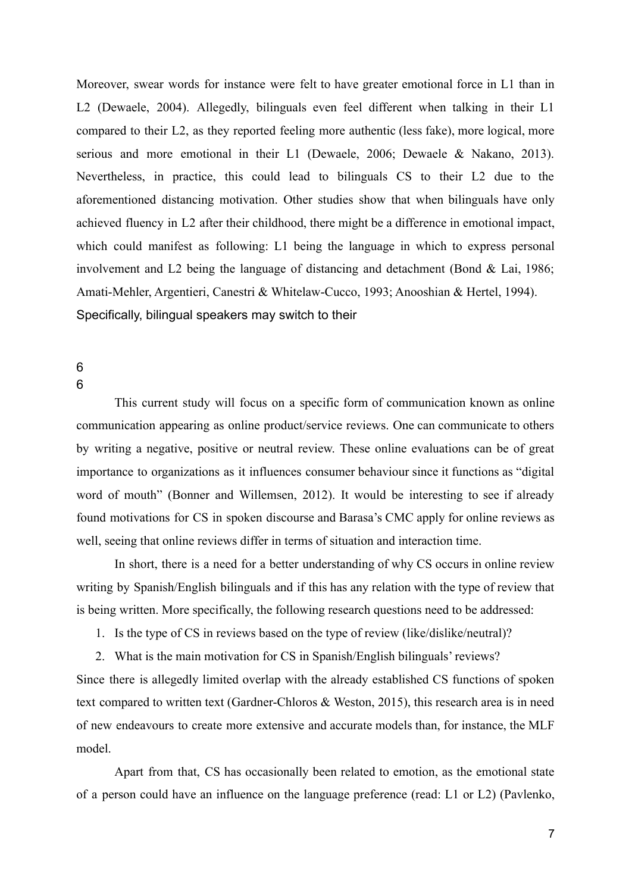Moreover, swear words for instance were felt to have greater emotional force in L1 than in L2 (Dewaele, 2004). Allegedly, bilinguals even feel different when talking in their L1 compared to their L2, as they reported feeling more authentic (less fake), more logical, more serious and more emotional in their L1 (Dewaele, 2006; Dewaele & Nakano, 2013). Nevertheless, in practice, this could lead to bilinguals CS to their L2 due to the aforementioned distancing motivation. Other studies show that when bilinguals have only achieved fluency in L2 after their childhood, there might be a difference in emotional impact, which could manifest as following: L1 being the language in which to express personal involvement and L2 being the language of distancing and detachment (Bond & Lai, 1986; Amati-Mehler, Argentieri, Canestri & Whitelaw-Cucco, 1993; Anooshian & Hertel, 1994). Specifically, bilingual speakers may switch to their

## 6 6

This current study will focus on a specific form of communication known as online communication appearing as online product/service reviews. One can communicate to others by writing a negative, positive or neutral review. These online evaluations can be of great importance to organizations as it influences consumer behaviour since it functions as "digital word of mouth" (Bonner and Willemsen, 2012). It would be interesting to see if already found motivations for CS in spoken discourse and Barasa's CMC apply for online reviews as well, seeing that online reviews differ in terms of situation and interaction time.

In short, there is a need for a better understanding of why CS occurs in online review writing by Spanish/English bilinguals and if this has any relation with the type of review that is being written. More specifically, the following research questions need to be addressed:

1. Is the type of CS in reviews based on the type of review (like/dislike/neutral)?

2. What is the main motivation for CS in Spanish/English bilinguals' reviews?

Since there is allegedly limited overlap with the already established CS functions of spoken text compared to written text (Gardner-Chloros & Weston, 2015), this research area is in need of new endeavours to create more extensive and accurate models than, for instance, the MLF model.

Apart from that, CS has occasionally been related to emotion, as the emotional state of a person could have an influence on the language preference (read: L1 or L2) (Pavlenko,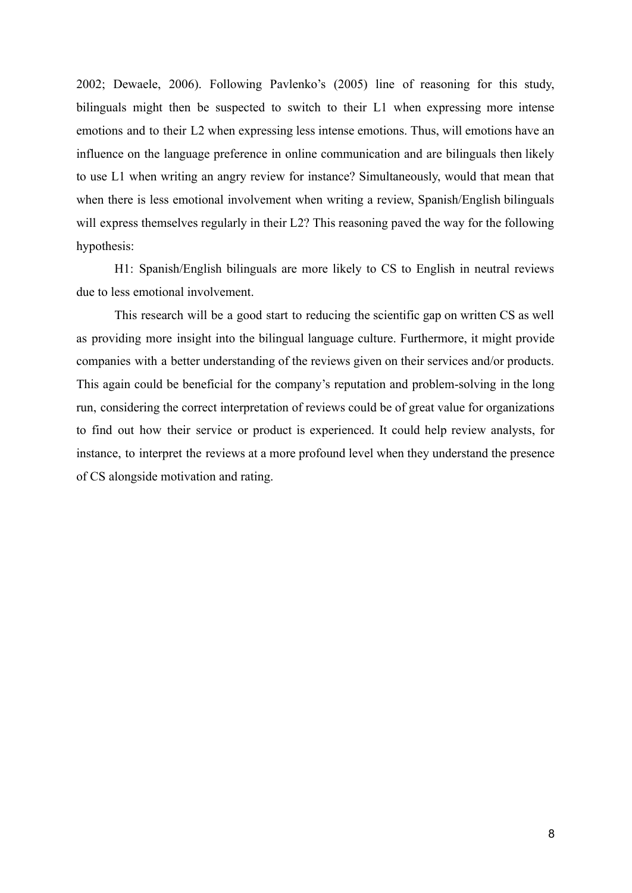2002; Dewaele, 2006). Following Pavlenko's (2005) line of reasoning for this study, bilinguals might then be suspected to switch to their L1 when expressing more intense emotions and to their L2 when expressing less intense emotions. Thus, will emotions have an influence on the language preference in online communication and are bilinguals then likely to use L1 when writing an angry review for instance? Simultaneously, would that mean that when there is less emotional involvement when writing a review, Spanish/English bilinguals will express themselves regularly in their L2? This reasoning paved the way for the following hypothesis:

H1: Spanish/English bilinguals are more likely to CS to English in neutral reviews due to less emotional involvement.

This research will be a good start to reducing the scientific gap on written CS as well as providing more insight into the bilingual language culture. Furthermore, it might provide companies with a better understanding of the reviews given on their services and/or products. This again could be beneficial for the company's reputation and problem-solving in the long run, considering the correct interpretation of reviews could be of great value for organizations to find out how their service or product is experienced. It could help review analysts, for instance, to interpret the reviews at a more profound level when they understand the presence of CS alongside motivation and rating.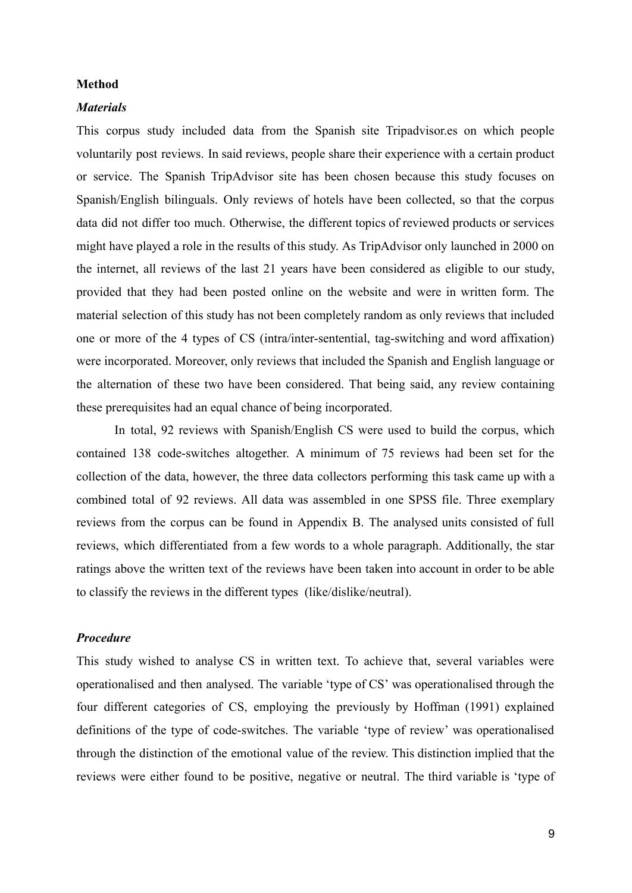#### **Method**

#### *Materials*

This corpus study included data from the Spanish site Tripadvisor.es on which people voluntarily post reviews. In said reviews, people share their experience with a certain product or service. The Spanish TripAdvisor site has been chosen because this study focuses on Spanish/English bilinguals. Only reviews of hotels have been collected, so that the corpus data did not differ too much. Otherwise, the different topics of reviewed products or services might have played a role in the results of this study. As TripAdvisor only launched in 2000 on the internet, all reviews of the last 21 years have been considered as eligible to our study, provided that they had been posted online on the website and were in written form. The material selection of this study has not been completely random as only reviews that included one or more of the 4 types of CS (intra/inter-sentential, tag-switching and word affixation) were incorporated. Moreover, only reviews that included the Spanish and English language or the alternation of these two have been considered. That being said, any review containing these prerequisites had an equal chance of being incorporated.

In total, 92 reviews with Spanish/English CS were used to build the corpus, which contained 138 code-switches altogether. A minimum of 75 reviews had been set for the collection of the data, however, the three data collectors performing this task came up with a combined total of 92 reviews. All data was assembled in one SPSS file. Three exemplary reviews from the corpus can be found in Appendix B. The analysed units consisted of full reviews, which differentiated from a few words to a whole paragraph. Additionally, the star ratings above the written text of the reviews have been taken into account in order to be able to classify the reviews in the different types (like/dislike/neutral).

### *Procedure*

This study wished to analyse CS in written text. To achieve that, several variables were operationalised and then analysed. The variable 'type of CS' was operationalised through the four different categories of CS, employing the previously by Hoffman (1991) explained definitions of the type of code-switches. The variable 'type of review' was operationalised through the distinction of the emotional value of the review. This distinction implied that the reviews were either found to be positive, negative or neutral. The third variable is 'type of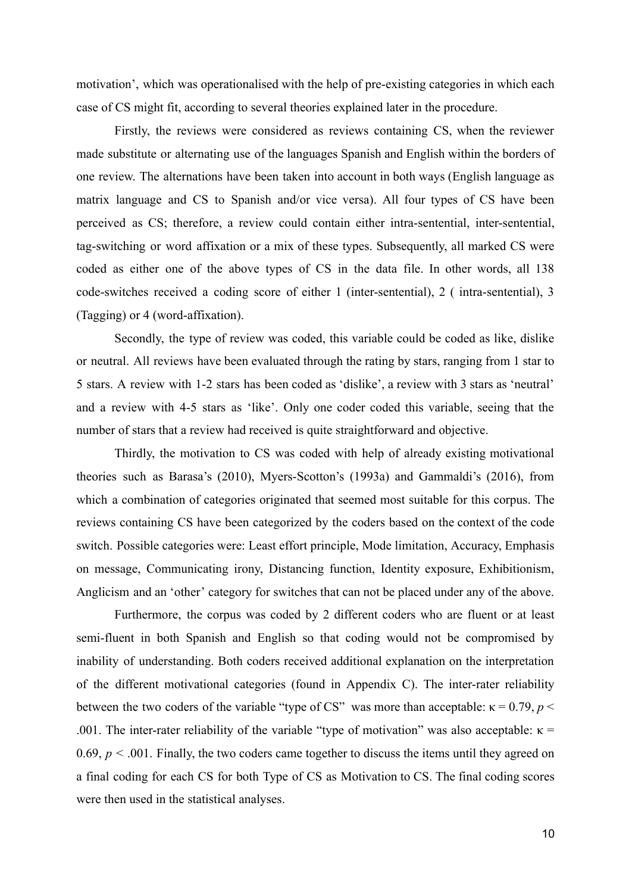motivation', which was operationalised with the help of pre-existing categories in which each case of CS might fit, according to several theories explained later in the procedure.

Firstly, the reviews were considered as reviews containing CS, when the reviewer made substitute or alternating use of the languages Spanish and English within the borders of one review. The alternations have been taken into account in both ways (English language as matrix language and CS to Spanish and/or vice versa). All four types of CS have been perceived as CS; therefore, a review could contain either intra-sentential, inter-sentential, tag-switching or word affixation or a mix of these types. Subsequently, all marked CS were coded as either one of the above types of CS in the data file. In other words, all 138 code-switches received a coding score of either 1 (inter-sentential), 2 ( intra-sentential), 3 (Tagging) or 4 (word-affixation).

Secondly, the type of review was coded, this variable could be coded as like, dislike or neutral. All reviews have been evaluated through the rating by stars, ranging from 1 star to 5 stars. A review with 1-2 stars has been coded as 'dislike', a review with 3 stars as 'neutral' and a review with 4-5 stars as 'like'. Only one coder coded this variable, seeing that the number of stars that a review had received is quite straightforward and objective.

Thirdly, the motivation to CS was coded with help of already existing motivational theories such as Barasa's (2010), Myers-Scotton's (1993a) and Gammaldi's (2016), from which a combination of categories originated that seemed most suitable for this corpus. The reviews containing CS have been categorized by the coders based on the context of the code switch. Possible categories were: Least effort principle, Mode limitation, Accuracy, Emphasis on message, Communicating irony, Distancing function, Identity exposure, Exhibitionism, Anglicism and an 'other' category for switches that can not be placed under any of the above.

Furthermore, the corpus was coded by 2 different coders who are fluent or at least semi-fluent in both Spanish and English so that coding would not be compromised by inability of understanding. Both coders received additional explanation on the interpretation of the different motivational categories (found in Appendix C). The inter-rater reliability between the two coders of the variable "type of CS" was more than acceptable:  $\kappa = 0.79$ ,  $p <$ .001. The inter-rater reliability of the variable "type of motivation" was also acceptable:  $\kappa$  = 0.69,  $p < 0.01$ . Finally, the two coders came together to discuss the items until they agreed on a final coding for each CS for both Type of CS as Motivation to CS. The final coding scores were then used in the statistical analyses.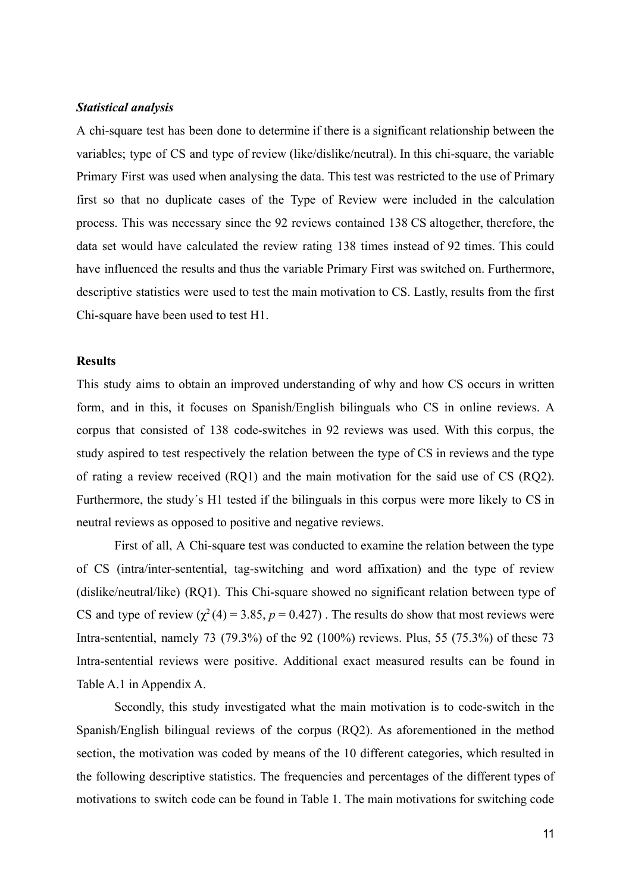#### *Statistical analysis*

A chi-square test has been done to determine if there is a significant relationship between the variables; type of CS and type of review (like/dislike/neutral). In this chi-square, the variable Primary First was used when analysing the data. This test was restricted to the use of Primary first so that no duplicate cases of the Type of Review were included in the calculation process. This was necessary since the 92 reviews contained 138 CS altogether, therefore, the data set would have calculated the review rating 138 times instead of 92 times. This could have influenced the results and thus the variable Primary First was switched on. Furthermore, descriptive statistics were used to test the main motivation to CS. Lastly, results from the first Chi-square have been used to test H1.

#### **Results**

This study aims to obtain an improved understanding of why and how CS occurs in written form, and in this, it focuses on Spanish/English bilinguals who CS in online reviews. A corpus that consisted of 138 code-switches in 92 reviews was used. With this corpus, the study aspired to test respectively the relation between the type of CS in reviews and the type of rating a review received (RQ1) and the main motivation for the said use of CS (RQ2). Furthermore, the study´s H1 tested if the bilinguals in this corpus were more likely to CS in neutral reviews as opposed to positive and negative reviews.

First of all, A Chi-square test was conducted to examine the relation between the type of CS (intra/inter-sentential, tag-switching and word affixation) and the type of review (dislike/neutral/like) (RQ1). This Chi-square showed no significant relation between type of CS and type of review  $(\chi^2(4) = 3.85, p = 0.427)$ . The results do show that most reviews were Intra-sentential, namely 73 (79.3%) of the 92 (100%) reviews. Plus, 55 (75.3%) of these 73 Intra-sentential reviews were positive. Additional exact measured results can be found in Table A.1 in Appendix A.

Secondly, this study investigated what the main motivation is to code-switch in the Spanish/English bilingual reviews of the corpus (RQ2). As aforementioned in the method section, the motivation was coded by means of the 10 different categories, which resulted in the following descriptive statistics. The frequencies and percentages of the different types of motivations to switch code can be found in Table 1. The main motivations for switching code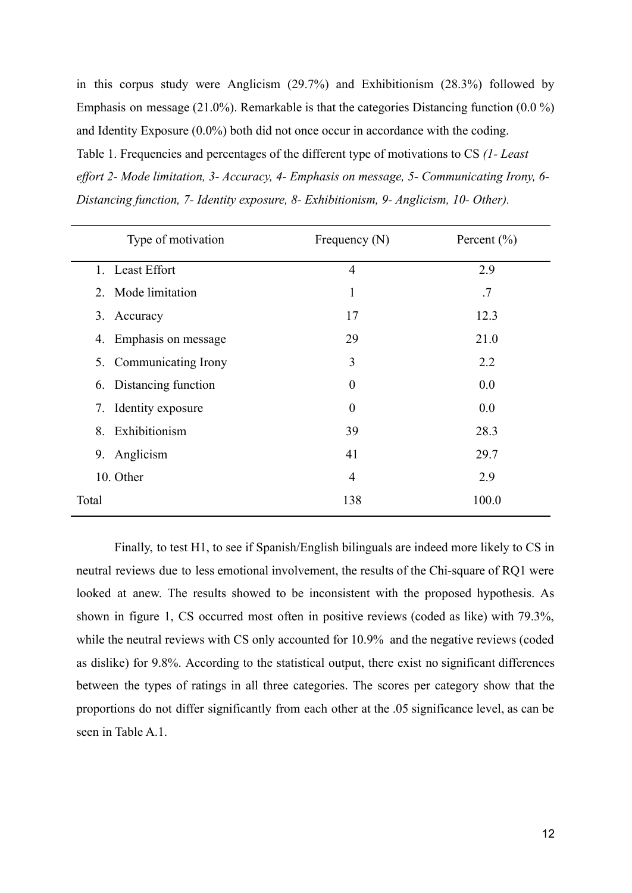in this corpus study were Anglicism (29.7%) and Exhibitionism (28.3%) followed by Emphasis on message (21.0%). Remarkable is that the categories Distancing function (0.0 %) and Identity Exposure (0.0%) both did not once occur in accordance with the coding. Table 1. Frequencies and percentages of the different type of motivations to CS *(1- Least effort 2- Mode limitation, 3- Accuracy, 4- Emphasis on message, 5- Communicating Irony, 6- Distancing function, 7- Identity exposure, 8- Exhibitionism, 9- Anglicism, 10- Other).*

| Type of motivation        | Frequency $(N)$ | Percent $(\% )$ |
|---------------------------|-----------------|-----------------|
| 1. Least Effort           | $\overline{4}$  | 2.9             |
| Mode limitation<br>2.     | 1               | .7              |
| 3.<br>Accuracy            | 17              | 12.3            |
| Emphasis on message<br>4. | 29              | 21.0            |
| 5. Communicating Irony    | 3               | 2.2             |
| 6. Distancing function    | $\theta$        | 0.0             |
| Identity exposure<br>7.   | $\theta$        | 0.0             |
| Exhibitionism<br>8.       | 39              | 28.3            |
| Anglicism<br>9.           | 41              | 29.7            |
| 10. Other                 | 4               | 2.9             |
| Total                     | 138             | 100.0           |

Finally, to test H1, to see if Spanish/English bilinguals are indeed more likely to CS in neutral reviews due to less emotional involvement, the results of the Chi-square of RQ1 were looked at anew. The results showed to be inconsistent with the proposed hypothesis. As shown in figure 1, CS occurred most often in positive reviews (coded as like) with 79.3%, while the neutral reviews with CS only accounted for 10.9% and the negative reviews (coded as dislike) for 9.8%. According to the statistical output, there exist no significant differences between the types of ratings in all three categories. The scores per category show that the proportions do not differ significantly from each other at the .05 significance level, as can be seen in Table A.1.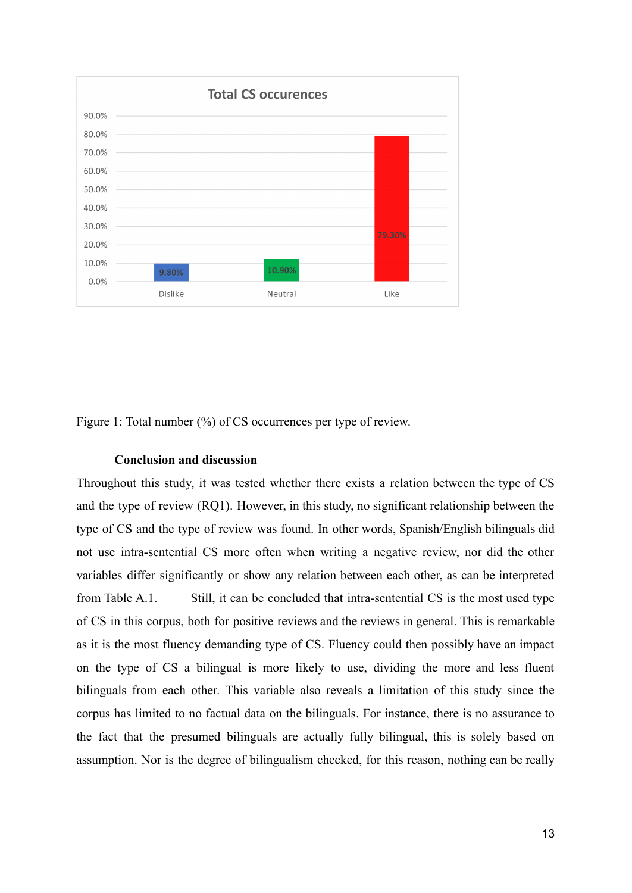

Figure 1: Total number  $(\%)$  of CS occurrences per type of review.

## **Conclusion and discussion**

Throughout this study, it was tested whether there exists a relation between the type of CS and the type of review (RQ1). However, in this study, no significant relationship between the type of CS and the type of review was found. In other words, Spanish/English bilinguals did not use intra-sentential CS more often when writing a negative review, nor did the other variables differ significantly or show any relation between each other, as can be interpreted from Table A.1. Still, it can be concluded that intra-sentential CS is the most used type of CS in this corpus, both for positive reviews and the reviews in general. This is remarkable as it is the most fluency demanding type of CS. Fluency could then possibly have an impact on the type of CS a bilingual is more likely to use, dividing the more and less fluent bilinguals from each other. This variable also reveals a limitation of this study since the corpus has limited to no factual data on the bilinguals. For instance, there is no assurance to the fact that the presumed bilinguals are actually fully bilingual, this is solely based on assumption. Nor is the degree of bilingualism checked, for this reason, nothing can be really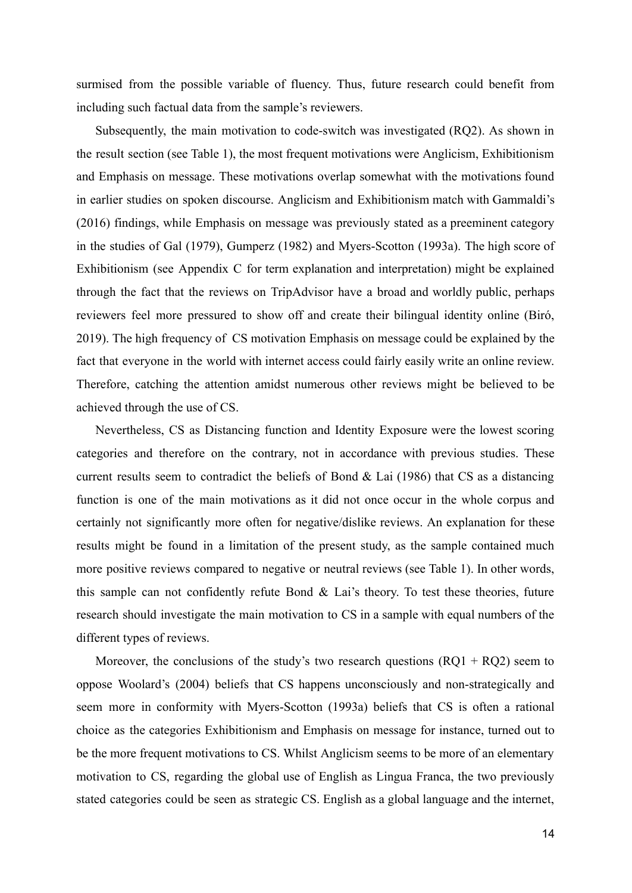surmised from the possible variable of fluency. Thus, future research could benefit from including such factual data from the sample's reviewers.

Subsequently, the main motivation to code-switch was investigated (RQ2). As shown in the result section (see Table 1), the most frequent motivations were Anglicism, Exhibitionism and Emphasis on message. These motivations overlap somewhat with the motivations found in earlier studies on spoken discourse. Anglicism and Exhibitionism match with Gammaldi's (2016) findings, while Emphasis on message was previously stated as a preeminent category in the studies of Gal (1979), Gumperz (1982) and Myers-Scotton (1993a). The high score of Exhibitionism (see Appendix C for term explanation and interpretation) might be explained through the fact that the reviews on TripAdvisor have a broad and worldly public, perhaps reviewers feel more pressured to show off and create their bilingual identity online (Biró, 2019). The high frequency of CS motivation Emphasis on message could be explained by the fact that everyone in the world with internet access could fairly easily write an online review. Therefore, catching the attention amidst numerous other reviews might be believed to be achieved through the use of CS.

Nevertheless, CS as Distancing function and Identity Exposure were the lowest scoring categories and therefore on the contrary, not in accordance with previous studies. These current results seem to contradict the beliefs of Bond & Lai (1986) that CS as a distancing function is one of the main motivations as it did not once occur in the whole corpus and certainly not significantly more often for negative/dislike reviews. An explanation for these results might be found in a limitation of the present study, as the sample contained much more positive reviews compared to negative or neutral reviews (see Table 1). In other words, this sample can not confidently refute Bond  $\&$  Lai's theory. To test these theories, future research should investigate the main motivation to CS in a sample with equal numbers of the different types of reviews.

Moreover, the conclusions of the study's two research questions  $(RQ1 + RQ2)$  seem to oppose Woolard's (2004) beliefs that CS happens unconsciously and non-strategically and seem more in conformity with Myers-Scotton (1993a) beliefs that CS is often a rational choice as the categories Exhibitionism and Emphasis on message for instance, turned out to be the more frequent motivations to CS. Whilst Anglicism seems to be more of an elementary motivation to CS, regarding the global use of English as Lingua Franca, the two previously stated categories could be seen as strategic CS. English as a global language and the internet,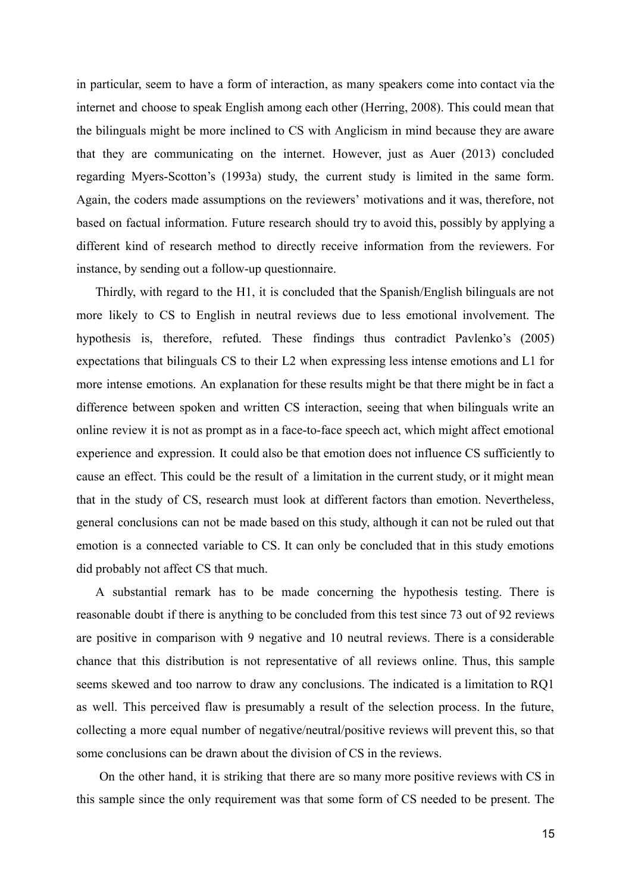in particular, seem to have a form of interaction, as many speakers come into contact via the internet and choose to speak English among each other (Herring, 2008). This could mean that the bilinguals might be more inclined to CS with Anglicism in mind because they are aware that they are communicating on the internet. However, just as Auer (2013) concluded regarding Myers-Scotton's (1993a) study, the current study is limited in the same form. Again, the coders made assumptions on the reviewers' motivations and it was, therefore, not based on factual information. Future research should try to avoid this, possibly by applying a different kind of research method to directly receive information from the reviewers. For instance, by sending out a follow-up questionnaire.

Thirdly, with regard to the H1, it is concluded that the Spanish/English bilinguals are not more likely to CS to English in neutral reviews due to less emotional involvement. The hypothesis is, therefore, refuted. These findings thus contradict Pavlenko's (2005) expectations that bilinguals CS to their L2 when expressing less intense emotions and L1 for more intense emotions. An explanation for these results might be that there might be in fact a difference between spoken and written CS interaction, seeing that when bilinguals write an online review it is not as prompt as in a face-to-face speech act, which might affect emotional experience and expression. It could also be that emotion does not influence CS sufficiently to cause an effect. This could be the result of a limitation in the current study, or it might mean that in the study of CS, research must look at different factors than emotion. Nevertheless, general conclusions can not be made based on this study, although it can not be ruled out that emotion is a connected variable to CS. It can only be concluded that in this study emotions did probably not affect CS that much.

A substantial remark has to be made concerning the hypothesis testing. There is reasonable doubt if there is anything to be concluded from this test since 73 out of 92 reviews are positive in comparison with 9 negative and 10 neutral reviews. There is a considerable chance that this distribution is not representative of all reviews online. Thus, this sample seems skewed and too narrow to draw any conclusions. The indicated is a limitation to RQ1 as well. This perceived flaw is presumably a result of the selection process. In the future, collecting a more equal number of negative/neutral/positive reviews will prevent this, so that some conclusions can be drawn about the division of CS in the reviews.

On the other hand, it is striking that there are so many more positive reviews with CS in this sample since the only requirement was that some form of CS needed to be present. The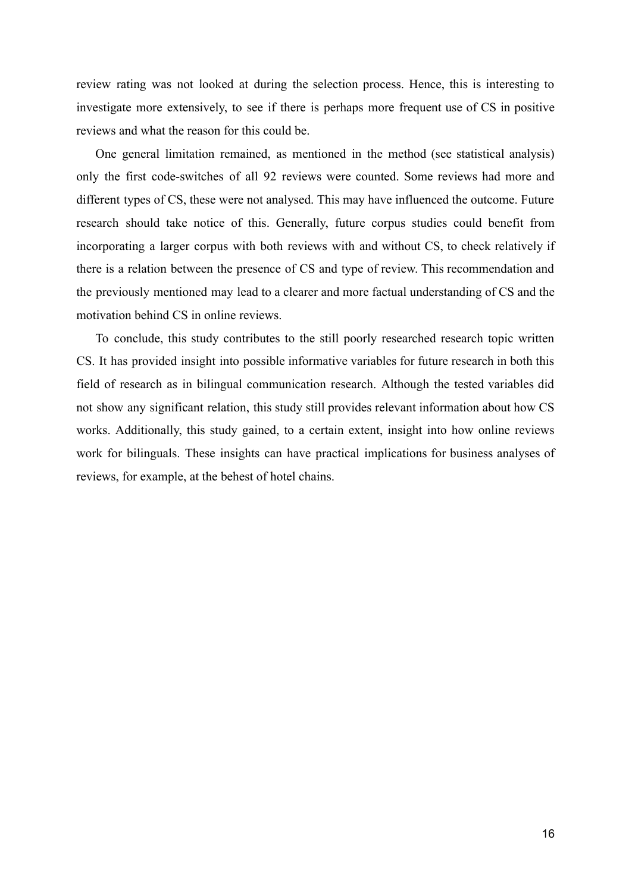review rating was not looked at during the selection process. Hence, this is interesting to investigate more extensively, to see if there is perhaps more frequent use of CS in positive reviews and what the reason for this could be.

One general limitation remained, as mentioned in the method (see statistical analysis) only the first code-switches of all 92 reviews were counted. Some reviews had more and different types of CS, these were not analysed. This may have influenced the outcome. Future research should take notice of this. Generally, future corpus studies could benefit from incorporating a larger corpus with both reviews with and without CS, to check relatively if there is a relation between the presence of CS and type of review. This recommendation and the previously mentioned may lead to a clearer and more factual understanding of CS and the motivation behind CS in online reviews.

To conclude, this study contributes to the still poorly researched research topic written CS. It has provided insight into possible informative variables for future research in both this field of research as in bilingual communication research. Although the tested variables did not show any significant relation, this study still provides relevant information about how CS works. Additionally, this study gained, to a certain extent, insight into how online reviews work for bilinguals. These insights can have practical implications for business analyses of reviews, for example, at the behest of hotel chains.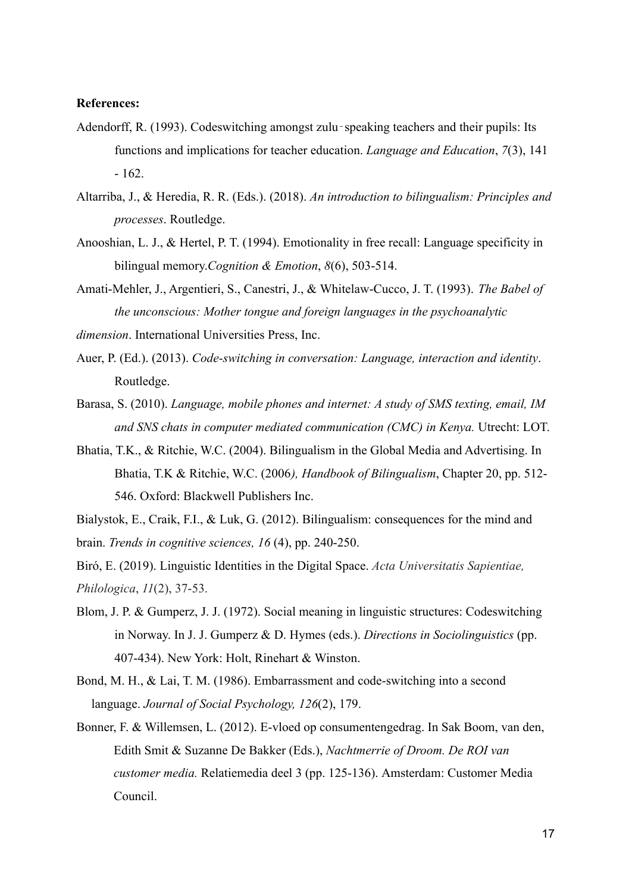#### **References:**

- Adendorff, R. (1993). Codeswitching amongst zulu‐speaking teachers and their pupils: Its functions and implications for teacher education. *Language and Education*, *7*(3), 141 - 162.
- Altarriba, J., & Heredia, R. R. (Eds.). (2018). *An introduction to bilingualism: Principles and processes*. Routledge.
- Anooshian, L. J., & Hertel, P. T. (1994). Emotionality in free recall: Language specificity in bilingual memory.*Cognition & Emotion*, *8*(6), 503-514.
- Amati-Mehler, J., Argentieri, S., Canestri, J., & Whitelaw-Cucco, J. T. (1993). *The Babel of the unconscious: Mother tongue and foreign languages in the psychoanalytic*
- *dimension*. International Universities Press, Inc.
- Auer, P. (Ed.). (2013). *Code-switching in conversation: Language, interaction and identity*. Routledge.
- Barasa, S. (2010). *Language, mobile phones and internet: A study of SMS texting, email, IM and SNS chats in computer mediated communication (CMC) in Kenya.* Utrecht: LOT.
- Bhatia, T.K., & Ritchie, W.C. (2004). Bilingualism in the Global Media and Advertising. In Bhatia, T.K & Ritchie, W.C. (2006*), Handbook of Bilingualism*, Chapter 20, pp. 512- 546. Oxford: Blackwell Publishers Inc.
- Bialystok, E., Craik, F.I., & Luk, G. (2012). Bilingualism: consequences for the mind and brain. *Trends in cognitive sciences, 16* (4), pp. 240-250.
- Biró, E. (2019). Linguistic Identities in the Digital Space. *Acta Universitatis Sapientiae, Philologica*, *11*(2), 37-53.
- Blom, J. P. & Gumperz, J. J. (1972). Social meaning in linguistic structures: Codeswitching in Norway. In J. J. Gumperz & D. Hymes (eds.). *Directions in Sociolinguistics* (pp. 407-434). New York: Holt, Rinehart & Winston.
- Bond, M. H., & Lai, T. M. (1986). Embarrassment and code-switching into a second language. *Journal of Social Psychology, 126*(2), 179.
- Bonner, F. & Willemsen, L. (2012). E-vloed op consumentengedrag. In Sak Boom, van den, Edith Smit & Suzanne De Bakker (Eds.), *Nachtmerrie of Droom. De ROI van customer media.* Relatiemedia deel 3 (pp. 125-136). Amsterdam: Customer Media Council.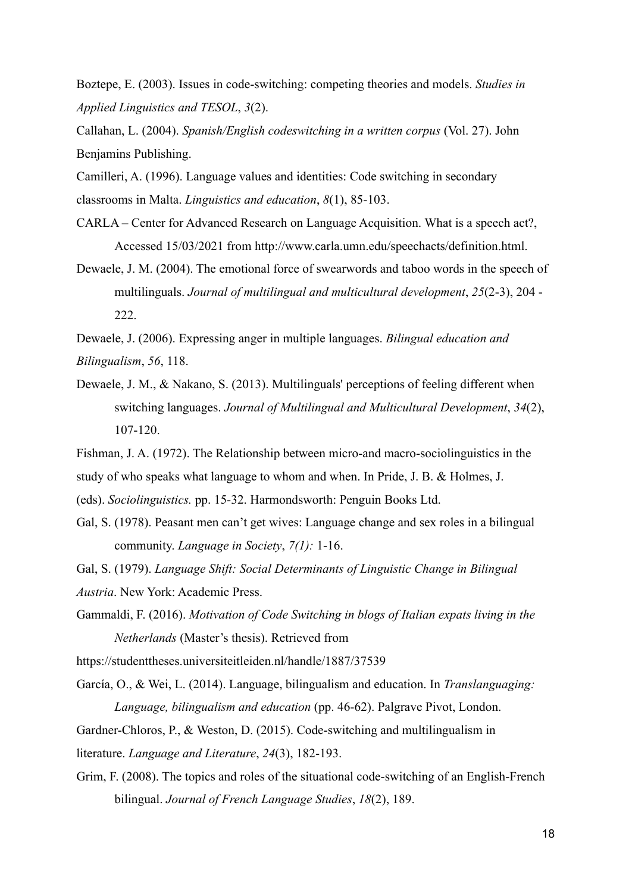Boztepe, E. (2003). Issues in code-switching: competing theories and models. *Studies in Applied Linguistics and TESOL*, *3*(2).

Callahan, L. (2004). *Spanish/English codeswitching in a written corpus* (Vol. 27). John Benjamins Publishing.

Camilleri, A. (1996). Language values and identities: Code switching in secondary classrooms in Malta. *Linguistics and education*, *8*(1), 85-103.

- CARLA Center for Advanced Research on Language Acquisition. What is a speech act?, Accessed 15/03/2021 from [http://www.carla.umn.edu/speechacts/definition.html.](http://www.carla.umn.edu/speechacts/definition.html)
- Dewaele, J. M. (2004). The emotional force of swearwords and taboo words in the speech of multilinguals. *Journal of multilingual and multicultural development*, *25*(2-3), 204 - 222.
- Dewaele, J. (2006). Expressing anger in multiple languages. *Bilingual education and Bilingualism*, *56*, 118.
- Dewaele, J. M., & Nakano, S. (2013). Multilinguals' perceptions of feeling different when switching languages. *Journal of Multilingual and Multicultural Development*, *34*(2), 107-120.
- Fishman, J. A. (1972). The Relationship between micro-and macro-sociolinguistics in the
- study of who speaks what language to whom and when. In Pride, J. B. & Holmes, J.
- (eds). *Sociolinguistics.* pp. 15-32. Harmondsworth: Penguin Books Ltd.
- Gal, S. (1978). Peasant men can't get wives: Language change and sex roles in a bilingual community. *Language in Society*, *7(1):* 1-16.
- Gal, S. (1979). *Language Shift: Social Determinants of Linguistic Change in Bilingual Austria*. New York: Academic Press.
- Gammaldi, F. (2016). *Motivation of Code Switching in blogs of Italian expats living in the Netherlands* (Master's thesis). Retrieved from

<https://studenttheses.universiteitleiden.nl/handle/1887/37539>

- García, O., & Wei, L. (2014). Language, bilingualism and education. In *Translanguaging: Language, bilingualism and education* (pp. 46-62). Palgrave Pivot, London.
- Gardner-Chloros, P., & Weston, D. (2015). Code-switching and multilingualism in
- literature. *Language and Literature*, *24*(3), 182-193.
- Grim, F. (2008). The topics and roles of the situational code-switching of an English-French bilingual. *Journal of French Language Studies*, *18*(2), 189.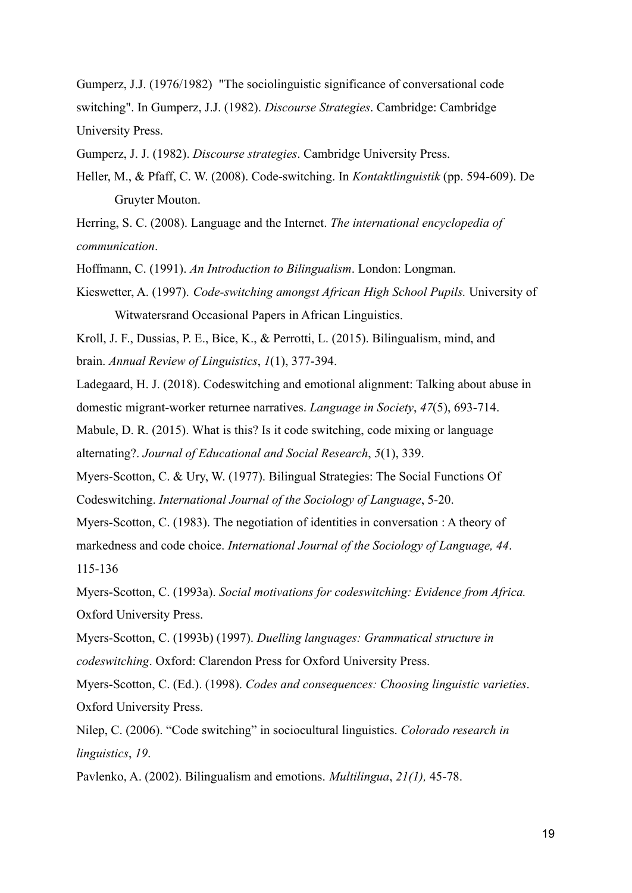Gumperz, J.J. (1976/1982) "The sociolinguistic significance of conversational code switching". In Gumperz, J.J. (1982). *[Discourse Strategies](https://books.google.com/books?id=aUJNgHWl_koC&q=%22code-switching%22)*. Cambridge: Cambridge University Press.

Gumperz, J. J. (1982). *Discourse strategies*. Cambridge University Press.

Heller, M., & Pfaff, C. W. (2008). Code-switching. In *Kontaktlinguistik* (pp. 594-609). De Gruyter Mouton.

Herring, S. C. (2008). Language and the Internet. *The international encyclopedia of communication*.

Hoffmann, C. (1991). *An Introduction to Bilingualism*. London: Longman.

Kieswetter, A. (1997). *Code-switching amongst African High School Pupils.* University of Witwatersrand Occasional Papers in African Linguistics.

Kroll, J. F., Dussias, P. E., Bice, K., & Perrotti, L. (2015). Bilingualism, mind, and brain. *Annual Review of Linguistics*, *1*(1), 377-394.

Ladegaard, H. J. (2018). Codeswitching and emotional alignment: Talking about abuse in domestic migrant-worker returnee narratives. *Language in Society*, *47*(5), 693-714.

Mabule, D. R. (2015). What is this? Is it code switching, code mixing or language alternating?. *Journal of Educational and Social Research*, *5*(1), 339.

Myers-Scotton, C. & Ury, W. (1977). Bilingual Strategies: The Social Functions Of Codeswitching. *International Journal of the Sociology of Language*, 5-20.

Myers-Scotton, C. (1983). The negotiation of identities in conversation : A theory of markedness and code choice. *International Journal of the Sociology of Language, 44*. 115-136

Myers-Scotton, C. (1993a). *Social motivations for codeswitching: Evidence from Africa.* Oxford University Press.

Myers-Scotton, C. (1993b) (1997). *Duelling languages: Grammatical structure in codeswitching*. Oxford: Clarendon Press for Oxford University Press.

Myers-Scotton, C. (Ed.). (1998). *Codes and consequences: Choosing linguistic varieties*. Oxford University Press.

Nilep, C. (2006). "Code switching" in sociocultural linguistics. *Colorado research in linguistics*, *19*.

Pavlenko, A. (2002). Bilingualism and emotions. *Multilingua*, *21(1),* 45-78.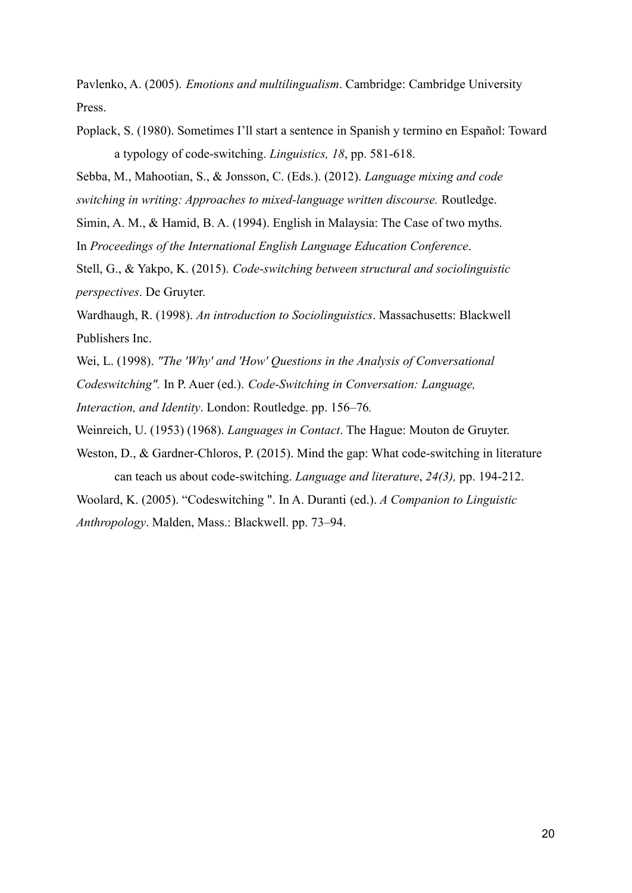Pavlenko, A. (2005). *Emotions and multilingualism*. Cambridge: Cambridge University Press.

Poplack, S. (1980). Sometimes I'll start a sentence in Spanish y termino en Español: Toward a typology of code-switching. *Linguistics, 18*, pp. 581-618.

Sebba, M., Mahootian, S., & Jonsson, C. (Eds.). (2012). *Language mixing and code switching in writing: Approaches to mixed-language written discourse.* Routledge.

Simin, A. M., & Hamid, B. A. (1994). English in Malaysia: The Case of two myths. In *Proceedings of the International English Language Education Conference*.

Stell, G., & Yakpo, K. (2015). *Code-switching between structural and sociolinguistic perspectives*. De Gruyter.

Wardhaugh, R. (1998). *An introduction to Sociolinguistics*. Massachusetts: Blackwell Publishers Inc.

Wei, L. (1998). *"The 'Why' and 'How' Questions in the Analysis of Conversational*

*Codeswitching".* In P. Auer (ed.). *Code-Switching in Conversation: Language,*

*Interaction, and Identity*. London: Routledge. pp. 156–76*.*

Weinreich, U. (1953) (1968). *Languages in Contact*. The Hague: Mouton de Gruyter.

Weston, D., & Gardner-Chloros, P. (2015). Mind the gap: What code-switching in literature can teach us about code-switching. *Language and literature*, *24(3),* pp. 194-212.

Woolard, K. (2005). "Codeswitching ". In A. Duranti (ed.). *A Companion to Linguistic Anthropology*. Malden, Mass.: Blackwell. pp. 73–94.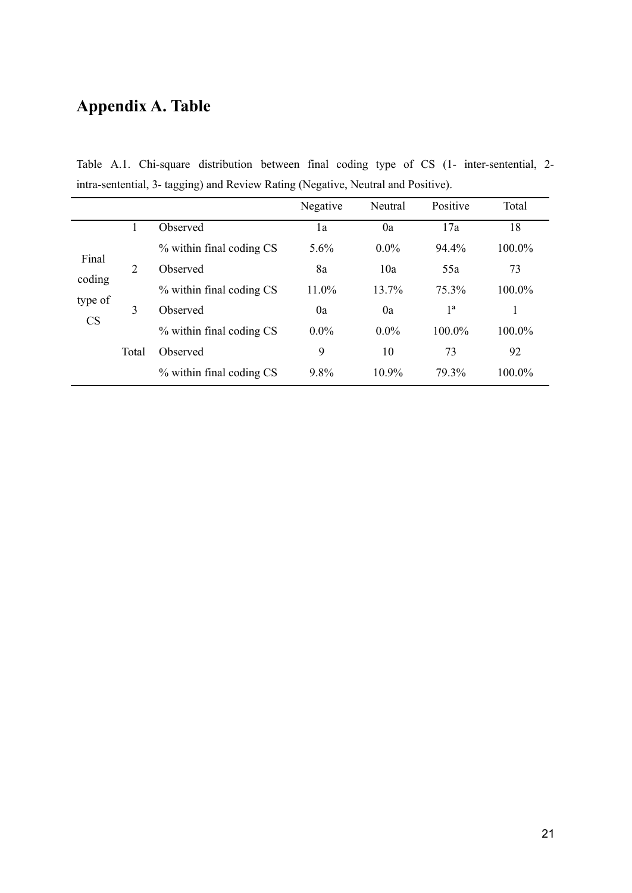# **Appendix A. Table**

Table A.1. Chi-square distribution between final coding type of CS (1- inter-sentential, 2 intra-sentential, 3- tagging) and Review Rating (Negative, Neutral and Positive).

|                                         |       |                          | Negative | Neutral | Positive         | Total  |
|-----------------------------------------|-------|--------------------------|----------|---------|------------------|--------|
|                                         |       | Observed                 | 1a       | 0a      | 17a              | 18     |
| Final<br>coding<br>type of<br><b>CS</b> |       | % within final coding CS | $5.6\%$  | $0.0\%$ | 94.4%            | 100.0% |
|                                         | 2     | Observed                 | 8a       | 10a     | 55a              | 73     |
|                                         |       | % within final coding CS | 11.0%    | 13.7%   | 75.3%            | 100.0% |
|                                         | 3     | Observed                 | 0a       | 0a      | $1^{\mathrm{a}}$ |        |
|                                         |       | % within final coding CS | $0.0\%$  | $0.0\%$ | 100.0%           | 100.0% |
|                                         | Total | Observed                 | 9        | 10      | 73               | 92     |
|                                         |       | % within final coding CS | 9.8%     | 10.9%   | 79.3%            | 100.0% |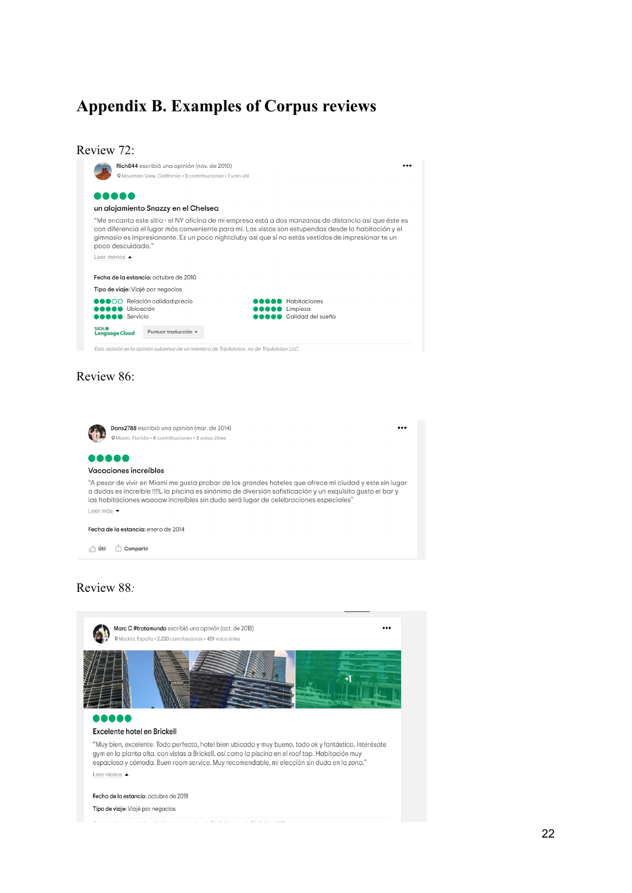# **Appendix B. Examples of Corpus reviews**

|                                           | @ Mountain View, California + 3 contribuciones + 1 voto útil                              |                                                                                                                                                                                                                                                                                                                    |
|-------------------------------------------|-------------------------------------------------------------------------------------------|--------------------------------------------------------------------------------------------------------------------------------------------------------------------------------------------------------------------------------------------------------------------------------------------------------------------|
|                                           | un alojamiento Snazzy en el Chelsea                                                       |                                                                                                                                                                                                                                                                                                                    |
| poco descuidado."                         |                                                                                           | "Me encanta este sitio - el NY oficina de mi empresa está a dos manzanas de distancia así que éste es<br>con diferencia el lugar más conveniente para mí. Las vistas son estupendas desde la habitación y el<br>gimnasio es impresionante. Es un poco nightcluby así que si no estás vestidos de impresionar te un |
| Leer menos $\triangle$                    |                                                                                           |                                                                                                                                                                                                                                                                                                                    |
|                                           | Fecha de la estancia: octubre de 2010                                                     |                                                                                                                                                                                                                                                                                                                    |
| Tipo de viaje: Viajé por negocios         |                                                                                           |                                                                                                                                                                                                                                                                                                                    |
| <b>O</b> Ubicación<br><b>DOO</b> Servicio | <b>COO</b> Relación calidad-precio                                                        | Habitaciones<br>Limpieza<br>Calidad del sueño                                                                                                                                                                                                                                                                      |
| <b>SDL®</b><br><b>Language Cloud</b>      | Puntuar traducción v                                                                      |                                                                                                                                                                                                                                                                                                                    |
|                                           | Esta opinión es la opinión subjetiva de un miembro de TripAdvisor, no de TripAdvisor LLC. |                                                                                                                                                                                                                                                                                                                    |
| Review 86:                                |                                                                                           |                                                                                                                                                                                                                                                                                                                    |
|                                           |                                                                                           |                                                                                                                                                                                                                                                                                                                    |
|                                           |                                                                                           |                                                                                                                                                                                                                                                                                                                    |

 $\epsilon$ **O** Miami, Florida • 4 contribuciones • 3 votos útiles 00000 Vacaciones increíbles "A pesar de vivir en Miami me gusta probar de los grandes hoteles que ofrece mi ciudad y este sin lugar a dudas es increíble !!!! Lla piscina es sinónimo de diversión sofisticación y un exquisito gusto el bar y las habitaciones woooow increíbles sin duda será lugar de celebraciones especiales" Leer más • Fecha de la estancia: enero de 2014 I<sup>n</sup> Útil <sup>†</sup> Compartir

## Review 88*:*

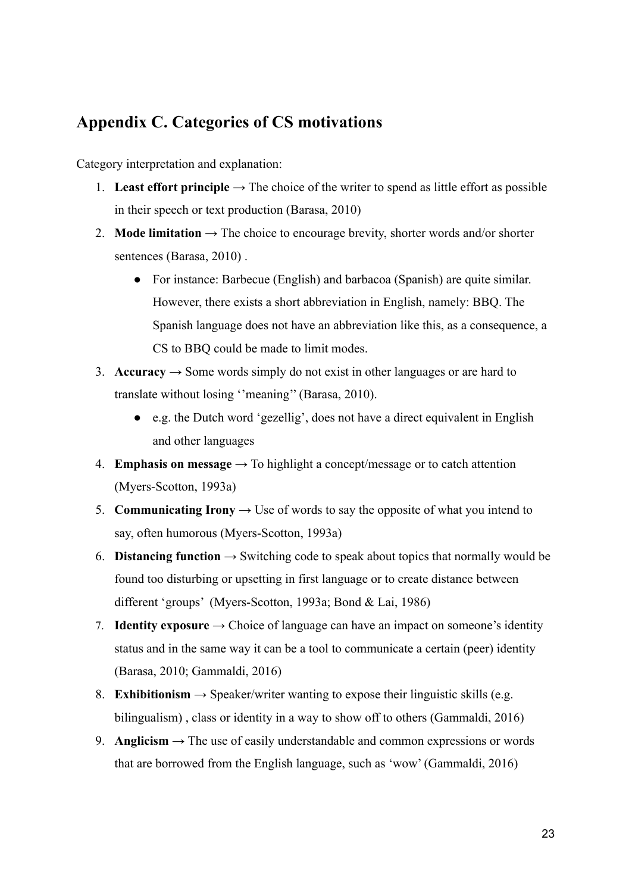## **Appendix C. Categories of CS motivations**

Category interpretation and explanation:

- 1. **Least effort principle**  $\rightarrow$  The choice of the writer to spend as little effort as possible in their speech or text production (Barasa, 2010)
- 2. **Mode limitation**  $\rightarrow$  The choice to encourage brevity, shorter words and/or shorter sentences (Barasa, 2010) .
	- For instance: Barbecue (English) and barbacoa (Spanish) are quite similar. However, there exists a short abbreviation in English, namely: BBQ. The Spanish language does not have an abbreviation like this, as a consequence, a CS to BBQ could be made to limit modes.
- 3. **Accuracy**  $\rightarrow$  Some words simply do not exist in other languages or are hard to translate without losing ''meaning'' (Barasa, 2010).
	- e.g. the Dutch word 'gezellig', does not have a direct equivalent in English and other languages
- 4. **Emphasis on message**  $\rightarrow$  To highlight a concept/message or to catch attention (Myers-Scotton, 1993a)
- 5. **Communicating Irony**  $\rightarrow$  Use of words to say the opposite of what you intend to say, often humorous (Myers-Scotton, 1993a)
- 6. **Distancing function**  $\rightarrow$  Switching code to speak about topics that normally would be found too disturbing or upsetting in first language or to create distance between different 'groups' (Myers-Scotton, 1993a; Bond & Lai, 1986)
- 7. **Identity exposure**  $\rightarrow$  Choice of language can have an impact on someone's identity status and in the same way it can be a tool to communicate a certain (peer) identity (Barasa, 2010; Gammaldi, 2016)
- 8. **Exhibitionism**  $\rightarrow$  Speaker/writer wanting to expose their linguistic skills (e.g. bilingualism) , class or identity in a way to show off to others (Gammaldi, 2016)
- 9. **Anglicism**  $\rightarrow$  The use of easily understandable and common expressions or words that are borrowed from the English language, such as 'wow' (Gammaldi, 2016)